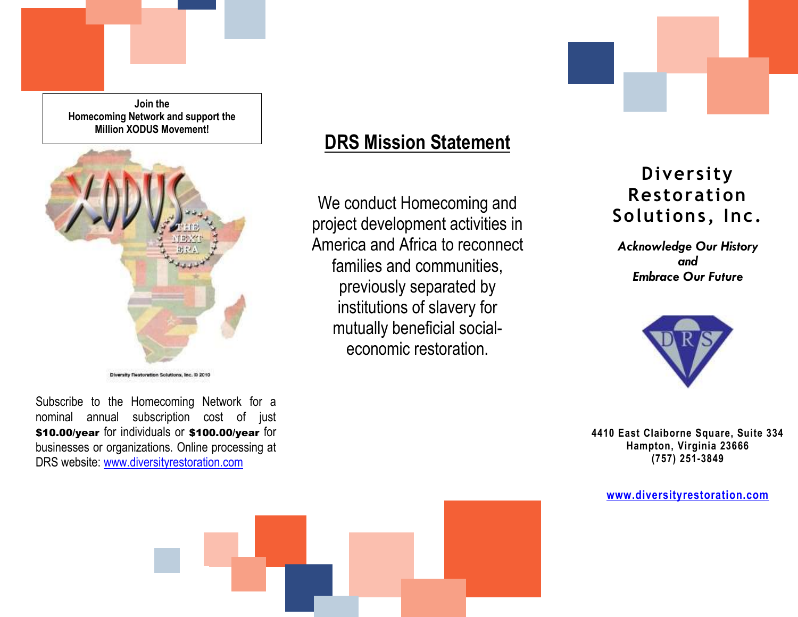**Join the Homecoming Network and support the Million XODUS Movement!**



Diversity Restoration Solutions, Inc. 6) 2010

Subscribe to the Homecoming Network for a nominal annual subscription cost of just \$10.00/year for individuals or \$100.00/year for businesses or organizations. Online processing at DRS website: [www.diversityrestoration.com](www.diversityrestoration.com%20)

## **DRS Mission Statement**

We conduct Homecoming and project development activities in America and Africa to reconnect families and communities, previously separated by institutions of slavery for mutually beneficial socialeconomic restoration.

# **Diversity Restoration Solutions, Inc.**

*Acknowledge Our History and Embrace Our Future*



**4410 East Claiborne Square, Suite 334 Hampton, Virginia 23666 (757) 251-3849**

**<www.diversityrestoration.com>**